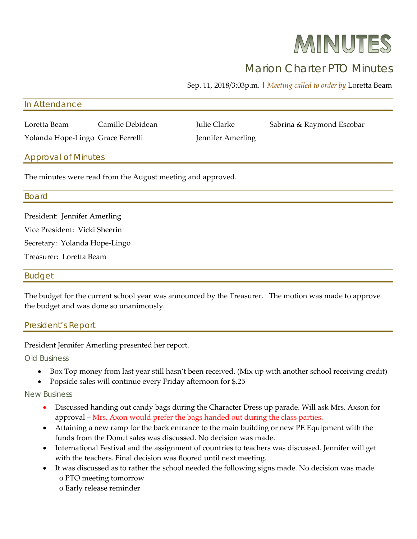# MINUTES

# Marion Charter PTO Minutes

Sep. 11, 2018/3:03p.m. | *Meeting called to order by* Loretta Beam

#### In Attendance

Loretta Beam Camille Debidean Julie Clarke Sabrina & Raymond Escobar

Yolanda Hope-Lingo Grace Ferrelli Jennifer Amerling

## Approval of Minutes

The minutes were read from the August meeting and approved.

#### Board

President: Jennifer Amerling

Vice President: Vicki Sheerin

Secretary: Yolanda Hope-Lingo

Treasurer: Loretta Beam

### Budget

The budget for the current school year was announced by the Treasurer. The motion was made to approve the budget and was done so unanimously.

|--|

President Jennifer Amerling presented her report.

Old Business

- Box Top money from last year still hasn't been received. (Mix up with another school receiving credit)
- Popsicle sales will continue every Friday afternoon for \$.25

New Business

- Discussed handing out candy bags during the Character Dress up parade. Will ask Mrs. Axson for approval – Mrs. Axon would prefer the bags handed out during the class parties.
- Attaining a new ramp for the back entrance to the main building or new PE Equipment with the funds from the Donut sales was discussed. No decision was made.
- International Festival and the assignment of countries to teachers was discussed. Jennifer will get with the teachers. Final decision was floored until next meeting.
- It was discussed as to rather the school needed the following signs made. No decision was made. o PTO meeting tomorrow
	- o Early release reminder